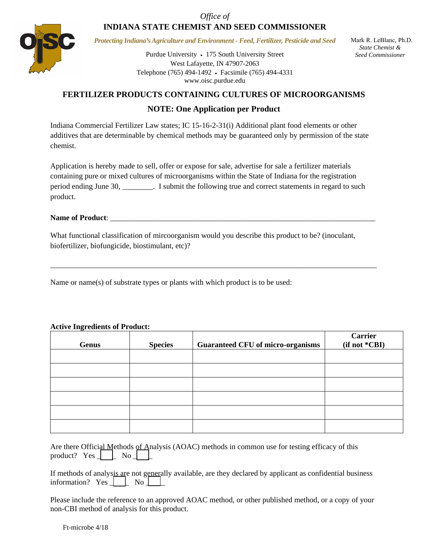*Office of* 

# **INDIANA STATE CHEMIST AND SEED COMMISSIONER**



*Protecting Indiana's Agriculture and Environment - Feed, Fertilizer, Pesticide and Seed* 

Purdue University • 175 South University Street West Lafayette, IN 47907-2063 Telephone (765) 494-1492 Facsimile (765) 494-4331 www.oisc.purdue.edu

 Mark R. LeBlanc, Ph.D. *State Chemist & Seed Commissioner*

## **FERTILIZER PRODUCTS CONTAINING CULTURES OF MICROORGANISMS**

### **NOTE: One Application per Product**

Indiana Commercial Fertilizer Law states; IC 15-16-2-31(i) Additional plant food elements or other additives that are determinable by chemical methods may be guaranteed only by permission of the state chemist.

Application is hereby made to sell, offer or expose for sale, advertise for sale a fertilizer materials containing pure or mixed cultures of microorganisms within the State of Indiana for the registration period ending June 30, \_\_\_\_\_\_\_\_. I submit the following true and correct statements in regard to such product.

#### Name of Product:

What functional classification of mircoorganism would you describe this product to be? (inoculant, biofertilizer, biofungicide, biostimulant, etc)?

\_\_\_\_\_\_\_\_\_\_\_\_\_\_\_\_\_\_\_\_\_\_\_\_\_\_\_\_\_\_\_\_\_\_\_\_\_\_\_\_\_\_\_\_\_\_\_\_\_\_\_\_\_\_\_\_\_\_\_\_\_\_\_\_\_\_\_\_\_\_\_\_\_\_\_\_\_\_\_\_\_\_\_\_\_

Name or name(s) of substrate types or plants with which product is to be used:

#### **Active Ingredients of Product:**

| <b>Genus</b> | <b>Species</b> | <b>Guaranteed CFU of micro-organisms</b> | <b>Carrier</b><br>(if not *CBI) |
|--------------|----------------|------------------------------------------|---------------------------------|
|              |                |                                          |                                 |
|              |                |                                          |                                 |
|              |                |                                          |                                 |
|              |                |                                          |                                 |
|              |                |                                          |                                 |
|              |                |                                          |                                 |

|  |  |  |  | Are there Official Methods of Analysis (AOAC) methods in common use for testing efficacy of this product? Yes $\boxed{\phantom{0}}$ No $\boxed{\phantom{0}}$ |  |  |
|--|--|--|--|--------------------------------------------------------------------------------------------------------------------------------------------------------------|--|--|

|  |  |  |  | If methods of analysis are not generally available, are they declared by applicant as confidential business information? Yes $\Box$ No $\Box$ |  |
|--|--|--|--|-----------------------------------------------------------------------------------------------------------------------------------------------|--|
|  |  |  |  |                                                                                                                                               |  |

Please include the reference to an approved AOAC method, or other published method, or a copy of your non-CBI method of analysis for this product.

Ft-microbe 4/18